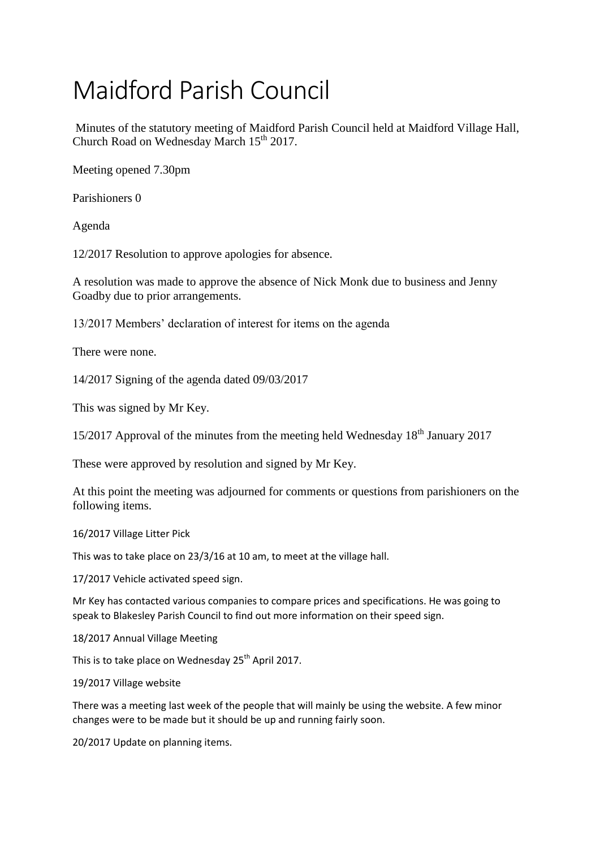## Maidford Parish Council

Minutes of the statutory meeting of Maidford Parish Council held at Maidford Village Hall, Church Road on Wednesday March 15<sup>th</sup> 2017.

Meeting opened 7.30pm

Parishioners 0

Agenda

12/2017 Resolution to approve apologies for absence.

A resolution was made to approve the absence of Nick Monk due to business and Jenny Goadby due to prior arrangements.

13/2017 Members' declaration of interest for items on the agenda

There were none.

14/2017 Signing of the agenda dated 09/03/2017

This was signed by Mr Key.

 $15/2017$  Approval of the minutes from the meeting held Wednesday  $18<sup>th</sup>$  January 2017

These were approved by resolution and signed by Mr Key.

At this point the meeting was adjourned for comments or questions from parishioners on the following items.

16/2017 Village Litter Pick

This was to take place on 23/3/16 at 10 am, to meet at the village hall.

17/2017 Vehicle activated speed sign.

Mr Key has contacted various companies to compare prices and specifications. He was going to speak to Blakesley Parish Council to find out more information on their speed sign.

18/2017 Annual Village Meeting

This is to take place on Wednesday 25<sup>th</sup> April 2017.

19/2017 Village website

There was a meeting last week of the people that will mainly be using the website. A few minor changes were to be made but it should be up and running fairly soon.

20/2017 Update on planning items.